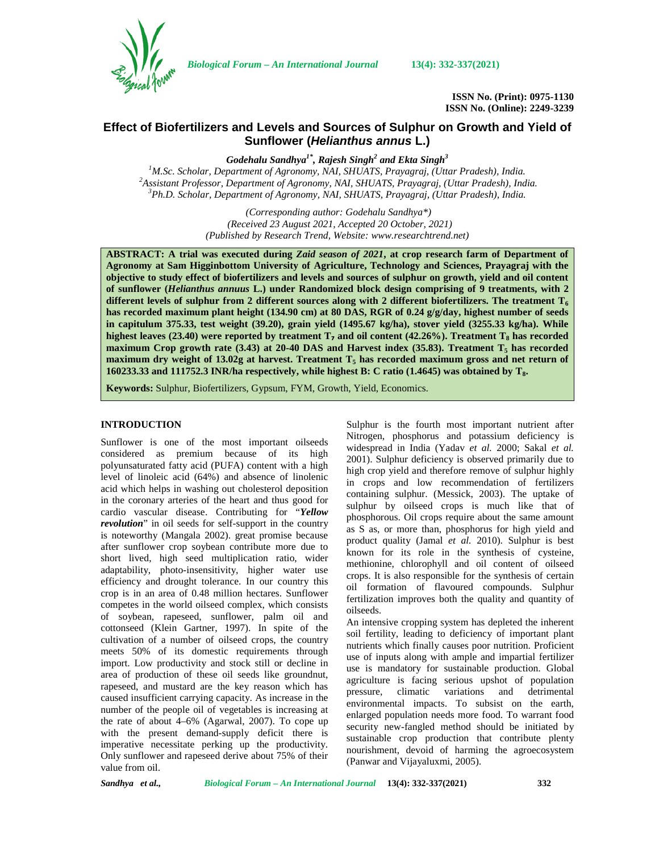

*Biological Forum – An International Journal* **13(4): 332-337(2021)**

**ISSN No. (Print): 0975-1130 ISSN No. (Online): 2249-3239**

# **Effect of Biofertilizers and Levels and Sources of Sulphur on Growth and Yield of Sunflower (***Helianthus annus* **L.)**

*Godehalu Sandhya1\*, Rajesh Singh<sup>2</sup> and Ekta Singh<sup>3</sup>* <sup>2</sup> Assistant Professor, Department of Agronomy, NAI, SHUATS, Prayagraj, (Uttar Pradesh), India.<br><sup>3</sup> Ph.D. Scholar, Department of Agronomy, NAI, SHUATS, Prayagraj, (Uttar Pradesh), India.

> *(Corresponding author: Godehalu Sandhya\*) (Received 23 August 2021, Accepted 20 October, 2021) (Published by Research Trend, Website: [www.researchtrend.net\)](www.researchtrend.net)*

**ABSTRACT: A trial was executed during** *Zaid season of 2021***, at crop research farm of Department of Agronomy at Sam Higginbottom University of Agriculture, Technology and Sciences, Prayagraj with the objective to study effect of biofertilizers and levels and sources of sulphur on growth, yield and oil content of sunflower (***Helianthus annuus* **L.) under Randomized block design comprising of 9 treatments, with 2** different levels of sulphur from 2 different sources along with 2 different biofertilizers. The treatment  $T_6$ **has recorded maximum plant height (134.90 cm) at 80 DAS, RGR of 0.24 g/g/day, highest number of seeds in capitulum 375.33, test weight (39.20), grain yield (1495.67 kg/ha), stover yield (3255.33 kg/ha). While highest leaves (23.40) were reported by treatment**  $T<sub>z</sub>$  **and oil content (42.26%). Treatment**  $T<sub>s</sub>$  **has recorded maximum Crop growth rate (3.43) at 20-40 DAS and Harvest index (35.83). Treatment**  $T_5$  **has recorded maximum dry weight of 13.02g at harvest. Treatment T<sup>5</sup> has recorded maximum gross and net return of 160233.33 and 111752.3 INR/ha respectively, while highest B: C ratio (1.4645) was obtained by T8.**

**Keywords:** Sulphur, Biofertilizers, Gypsum, FYM, Growth, Yield, Economics.

### **INTRODUCTION**

Sunflower is one of the most important oilseeds considered as premium because of its high polyunsaturated fatty acid (PUFA) content with a high level of linoleic acid (64%) and absence of linolenic acid which helps in washing out cholesterol deposition in the coronary arteries of the heart and thus good for cardio vascular disease. Contributing for "*Yellow revolution*" in oil seeds for self-support in the country is noteworthy (Mangala 2002). great promise because after sunflower crop soybean contribute more due to short lived, high seed multiplication ratio, wider adaptability, photo-insensitivity, higher water use efficiency and drought tolerance. In our country this crop is in an area of 0.48 million hectares. Sunflower competes in the world oilseed complex, which consists of soybean, rapeseed, sunflower, palm oil and cottonseed (Klein Gartner, 1997). In spite of the cultivation of a number of oilseed crops, the country meets 50% of its domestic requirements through import. Low productivity and stock still or decline in area of production of these oil seeds like groundnut, rapeseed, and mustard are the key reason which has caused insufficient carrying capacity. As increase in the number of the people oil of vegetables is increasing at the rate of about 4–6% (Agarwal, 2007). To cope up with the present demand-supply deficit there is imperative necessitate perking up the productivity. Only sunflower and rapeseed derive about 75% of their value from oil.

Sulphur is the fourth most important nutrient after Nitrogen, phosphorus and potassium deficiency is widespread in India (Yadav *et al.* 2000; Sakal *et al.* 2001). Sulphur deficiency is observed primarily due to high crop yield and therefore remove of sulphur highly in crops and low recommendation of fertilizers containing sulphur. (Messick, 2003). The uptake of sulphur by oilseed crops is much like that of phosphorous. Oil crops require about the same amount as S as, or more than, phosphorus for high yield and product quality (Jamal *et al.* 2010). Sulphur is best known for its role in the synthesis of cysteine, methionine, chlorophyll and oil content of oilseed crops. It is also responsible for the synthesis of certain oil formation of flavoured compounds. Sulphur fertilization improves both the quality and quantity of oilseeds.

An intensive cropping system has depleted the inherent soil fertility, leading to deficiency of important plant nutrients which finally causes poor nutrition. Proficient use of inputs along with ample and impartial fertilizer use is mandatory for sustainable production. Global agriculture is facing serious upshot of population pressure, climatic variations and detrimental environmental impacts. To subsist on the earth, enlarged population needs more food. To warrant food security new-fangled method should be initiated by sustainable crop production that contribute plenty nourishment, devoid of harming the agroecosystem (Panwar and Vijayaluxmi, 2005).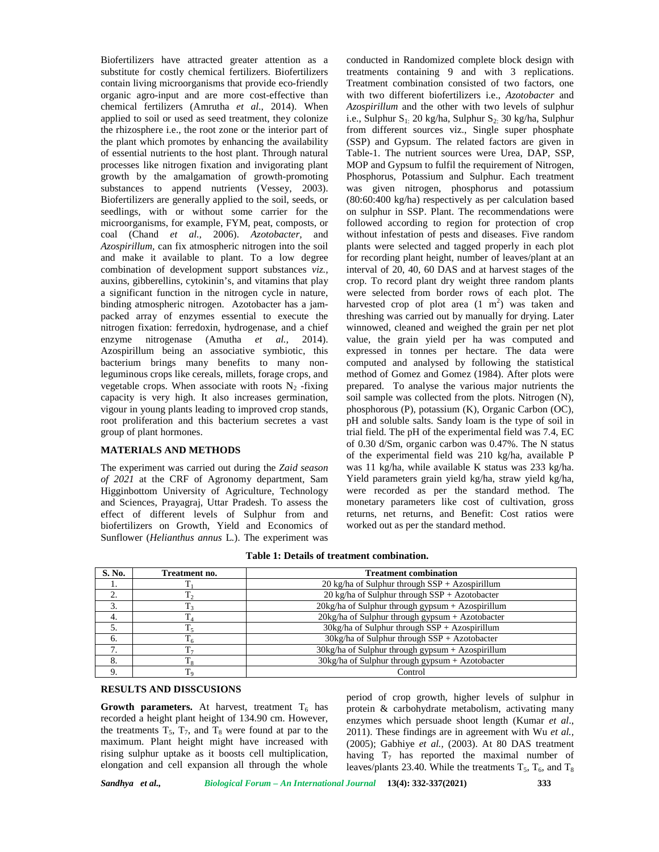Biofertilizers have attracted greater attention as a substitute for costly chemical fertilizers. Biofertilizers contain living microorganisms that provide eco-friendly organic agro-input and are more cost-effective than chemical fertilizers (Amrutha *et al*., 2014). When applied to soil or used as seed treatment, they colonize the rhizosphere i.e., the root zone or the interior part of the plant which promotes by enhancing the availability of essential nutrients to the host plant. Through natural processes like nitrogen fixation and invigorating plant growth by the amalgamation of growth-promoting substances to append nutrients (Vessey, 2003). Biofertilizers are generally applied to the soil, seeds, or seedlings, with or without some carrier for the microorganisms, for example, FYM, peat, composts, or coal (Chand *et al.,* 2006). *Azotobacter,* and *Azospirillum,* can fix atmospheric nitrogen into the soil and make it available to plant. To a low degree combination of development support substances *viz.,* auxins, gibberellins, cytokinin's, and vitamins that play a significant function in the nitrogen cycle in nature, binding atmospheric nitrogen. Azotobacter has a jam packed array of enzymes essential to execute the nitrogen fixation: ferredoxin, hydrogenase, and a chief enzyme nitrogenase (Amutha *et al.,* 2014). Azospirillum being an associative symbiotic, this bacterium brings many benefits to many nonleguminous crops like cereals, millets, forage crops, and vegetable crops. When associate with roots  $N_2$  -fixing capacity is very high. It also increases germination, vigour in young plants leading to improved crop stands, root proliferation and this bacterium secretes a vast group of plant hormones.

## **MATERIALS AND METHODS**

The experiment was carried out during the *Zaid season of 2021* at the CRF of Agronomy department, Sam Higginbottom University of Agriculture, Technology and Sciences, Prayagraj, Uttar Pradesh. To assess the effect of different levels of Sulphur from and biofertilizers on Growth, Yield and Economics of Sunflower (*Helianthus annus* L*.*). The experiment was conducted in Randomized complete block design with treatments containing 9 and with 3 replications. Treatment combination consisted of two factors, one with two different biofertilizers i.e., *Azotobacter* and *Azospirillum* and the other with two levels of sulphur i.e., Sulphur  $S_1$ : 20 kg/ha, Sulphur  $S_2$ : 30 kg/ha, Sulphur from different sources viz., Single super phosphate (SSP) and Gypsum. The related factors are given in Table-1. The nutrient sources were Urea, DAP, SSP, MOP and Gypsum to fulfil the requirement of Nitrogen, Phosphorus, Potassium and Sulphur. Each treatment was given nitrogen, phosphorus and potassium (80:60:400 kg/ha) respectively as per calculation based on sulphur in SSP. Plant. The recommendations were followed according to region for protection of crop without infestation of pests and diseases. Five random plants were selected and tagged properly in each plot for recording plant height, number of leaves/plant at an interval of 20, 40, 60 DAS and at harvest stages of the crop. To record plant dry weight three random plants were selected from border rows of each plot. The harvested crop of plot area  $(1 \text{ m}^2)$  was taken and threshing was carried out by manually for drying. Later winnowed, cleaned and weighed the grain per net plot value, the grain yield per ha was computed and expressed in tonnes per hectare. The data were computed and analysed by following the statistical method of Gomez and Gomez (1984). After plots were prepared. To analyse the various major nutrients the soil sample was collected from the plots. Nitrogen (N), phosphorous (P), potassium (K), Organic Carbon (OC), pH and soluble salts. Sandy loam is the type of soil in trial field. The pH of the experimental field was 7.4, EC of 0.30 d/Sm, organic carbon was 0.47%. The N status of the experimental field was 210 kg/ha, available P was 11 kg/ha, while available K status was 233 kg/ha. Yield parameters grain yield kg/ha, straw yield kg/ha, were recorded as per the standard method. The monetary parameters like cost of cultivation, gross returns, net returns, and Benefit: Cost ratios were worked out as per the standard method.

**Table 1: Details of treatment combination.**

| S. No. | Treatment no.  | <b>Treatment combination</b>                           |
|--------|----------------|--------------------------------------------------------|
| .,     |                | $20$ kg/ha of Sulphur through SSP + Azospirillum       |
| ◠      |                | 20 kg/ha of Sulphur through $SSP + Azotobacter$        |
| 3.     |                | 20kg/ha of Sulphur through gypsum + Azospirillum       |
| 4.     |                | 20kg/ha of Sulphur through gypsum + Azotobacter        |
|        | $T_{\rm s}$    | $30\text{kg/ha}$ of Sulphur through SSP + Azospirillum |
| 6.     | T <sub>6</sub> | $30\text{kg/ha}$ of Sulphur through SSP + Azotobacter  |
|        | T <sub>7</sub> | 30kg/ha of Sulphur through gypsum + Azospirillum       |
| 8.     | $T_{8}$        | 30kg/ha of Sulphur through gypsum + Azotobacter        |
|        | T <sub>9</sub> | Control                                                |

#### **RESULTS AND DISSCUSIONS**

**Growth parameters.** At harvest, treatment  $T_6$  has recorded a height plant height of 134.90 cm. However, the treatments  $T_5$ ,  $T_7$ , and  $T_8$  were found at par to the maximum. Plant height might have increased with rising sulphur uptake as it boosts cell multiplication, elongation and cell expansion all through the whole period of crop growth, higher levels of sulphur in protein & carbohydrate metabolism, activating many enzymes which persuade shoot length (Kumar *et al*., 2011). These findings are in agreement with Wu *et al.,* (2005); Gabhiye *et al.,* (2003). At 80 DAS treatment having  $T_7$  has reported the maximal number of leaves/plants 23.40. While the treatments  $T_5$ ,  $T_6$ , and  $T_8$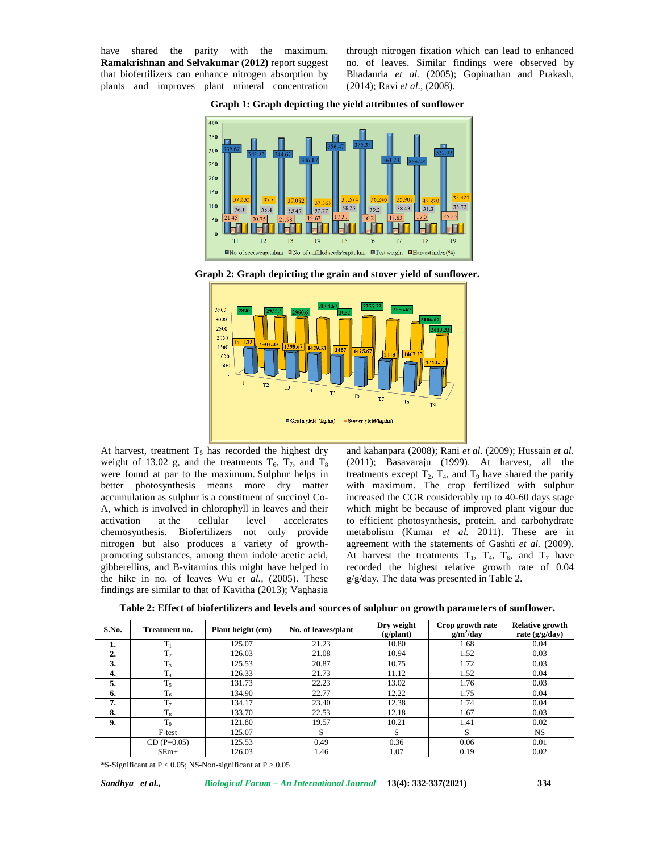have shared the parity with the maximum. **Ramakrishnan and Selvakumar (2012)** report suggest that biofertilizers can enhance nitrogen absorption by plants and improves plant mineral concentration through nitrogen fixation which can lead to enhanced no. of leaves. Similar findings were observed by Bhadauria *et al.* (2005); Gopinathan and Prakash, (2014); Ravi *et al*., (2008).

**Graph 1: Graph depicting the yield attributes of sunflower**



**Graph 2: Graph depicting the grain and stover yield of sunflower.**



At harvest, treatment  $T_5$  has recorded the highest dry weight of 13.02 g, and the treatments  $T_6$ ,  $T_7$ , and  $T_8$ were found at par to the maximum. Sulphur helps in better photosynthesis means more dry matter accumulation as sulphur is a constituent of succinyl Co- A, which is involved in chlorophyll in leaves and their activation at the cellular level accelerates chemosynthesis. Biofertilizers not only provide nitrogen but also produces a variety of growth promoting substances, among them indole acetic acid, gibberellins, and B-vitamins this might have helped in the hike in no. of leaves Wu *et al.,* (2005). These findings are similar to that of Kavitha (2013); Vaghasia

and kahanpara (2008); Rani *et al.* (2009); Hussain *et al.* (2011); Basavaraju (1999). At harvest, all the treatments except  $T_2$ ,  $T_4$ , and  $T_9$  have shared the parity with maximum. The crop fertilized with sulphur increased the CGR considerably up to 40-60 days stage which might be because of improved plant vigour due to efficient photosynthesis, protein, and carbohydrate metabolism (Kumar *et al.* 2011). These are in agreement with the statements of Gashti *et al.* (2009). At harvest the treatments  $T_1$ ,  $T_4$ ,  $T_6$ , and  $T_7$  have recorded the highest relative growth rate of 0.04 g/g/day. The data was presented in Table 2.

| S.No. | Treatment no.    | Plant height (cm) | No. of leaves/plant | Dry weight<br>$(g/\text{plant})$ | Crop growth rate<br>$g/m^2$ /day | <b>Relative growth</b><br>rate $(g/g/day)$ |
|-------|------------------|-------------------|---------------------|----------------------------------|----------------------------------|--------------------------------------------|
| ı.    | $T_1$            | 125.07            | 21.23               | 10.80                            | 1.68                             | 0.04                                       |
| 2.    | T <sub>2</sub>   | 126.03            | 21.08               | 10.94                            | 1.52                             | 0.03                                       |
| 3.    | T <sub>3</sub>   | 125.53            | 20.87               | 10.75                            | 1.72                             | 0.03                                       |
| 4.    | m                | 126.33            | 21.73               | 11.12                            | 1.52                             | 0.04                                       |
| 5.    | $T_5$            | 131.73            | 22.23               | 13.02                            | 1.76                             | 0.03                                       |
| 6.    | $T_6$            | 134.90            | 22.77               | 12.22                            | 1.75                             | 0.04                                       |
| 7.    | $T_{7}$          | 134.17            | 23.40               | 12.38                            | 1.74                             | 0.04                                       |
| 8.    | $T_8$            | 133.70            | 22.53               | 12.18                            | 1.67                             | 0.03                                       |
| 9.    | T <sub>9</sub>   | 121.80            | 19.57               | 10.21                            | 1.41                             | 0.02                                       |
|       | F-test           | 125.07            | S                   | S                                | S                                | <b>NS</b>                                  |
|       | $CD(P=0.05)$     | 125.53            | 0.49                | 0.36                             | 0.06                             | 0.01                                       |
|       | SEm <sub>±</sub> | 126.03            | 1.46                | 1.07                             | 0.19                             | 0.02                                       |

\*S-Significant at P < 0.05; NS-Non-significant at P > 0.05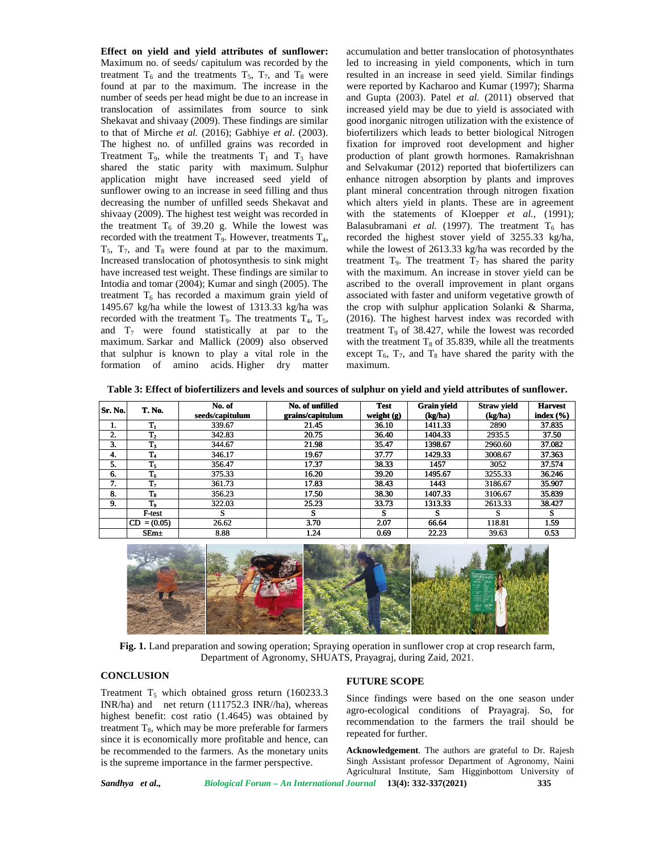**Effect on yield and yield attributes of sunflower:** Maximum no. of seeds/ capitulum was recorded by the treatment  $T_6$  and the treatments  $T_5$ ,  $T_7$ , and  $T_8$  were found at par to the maximum. The increase in the number of seeds per head might be due to an increase in translocation of assimilates from source to sink Shekavat and shivaay (2009). These findings are similar to that of Mirche *et al.* (2016); Gabhiye *et al*. (2003). The highest no. of unfilled grains was recorded in Treatment  $T_9$ , while the treatments  $T_1$  and  $T_3$  have shared the static parity with maximum. Sulphur application might have increased seed yield of sunflower owing to an increase in seed filling and thus decreasing the number of unfilled seeds Shekavat and shivaay (2009). The highest test weight was recorded in The highest no. of unfilled grains was recorded in fixite Treatment T<sub>9</sub>, while the treatments T<sub>1</sub> and T<sub>3</sub> have prosident shared the static parity with maximum. Sulphur and application might have increased seed yield of recorded with the treatment  $T_9$ . However, treatments  $T_4$ ,  $T_5$ ,  $T_7$ , and  $T_8$  were found at par to the maximum. Increased translocation of photosynthesis to sink might have increased test weight. These findings are similar to Intodia and tomar (2004); Kumar and singh (2005). The treatment  $T_6$  has recorded a maximum grain yield of 1495.67 kg/ha while the lowest of 1313.33 kg/ha was recorded with the treatment  $T_9$ . The treatments  $T_4$ ,  $T_5$ , and  $T_7$  were found statistically at par to the maximum. Sarkar and Mallick (2009) also observed with that sulphur is known to play a vital role in the formation of amino acids. Higher dry matter n o. of seeds/ capitulum was recorded by the led<br>
raction of seconds of the maximum. The increase in the maximum is recorded by the<br>
part to the maximum is the increase in the west intervals from source to sink interval a  $T_6$  and the treatments  $T_5$ ,  $T_7$ , and  $T_8$  were<br>par to the maximum. The increase in the<br>seeds per head might be due to an increase in<br>on of assimilates from source to sink<br>and shivaay (2009). These findings are simi with the treatment  $T_9$ . However, treatments  $T_4$ , record  $T_8$  were found at par to the maximum. whil translocation of photosynthesis to sink might treat ased test weight. These findings are similar to with d tomar (20 **Effect on yield and yield are translocation** of reaches and yield a strip were retreatment T<sub>o</sub> and T<sub>h</sub> were translocation of ansimilates of the maximum of translocation of ansimilates Trem T<sub>h</sub> and T<sub>h</sub> were translocat have increased test weight. These findings are similar to Intodia and tomar (2004); Kumar and singh (2005). The treatment  $T_6$  has recorded a maximum grain yield of 1495.67 kg/ha while the lowest of 1313.33 kg/ha was rec

accumulation and better translocation of photosynthates led to increasing in yield components, which in turn resulted in an increase in seed yield. Similar findings were reported by Kacharoo and Kumar (1997); Sharma and Gupta (2003). Patel *et al.* (2011) observed that increased yield may be due to yield is associated with good inorganic nitrogen utilization with the existence of biofertilizers which leads to better biological Nitrogen fixation for improved root development and higher production of plant growth hormones. Ramakrishnan and Selvakumar (2012) reported that biofertilizers can enhance nitrogen absorption by plants and improves plant mineral concentration through nitrogen fixation which alters yield in plants. These are in agreement with the statements of Kloepper *et al.,* (1991); Balasubramani *et al.* (1997). The treatment  $T_6$  has recorded the highest stover yield of 3255.33 kg/ha, while the lowest of 2613.33 kg/ha was recorded by the treatment  $T_9$ . The treatment  $T_7$  has shared the parity with the maximum. An increase in stover yield can be ascribed to the overall improvement in plant organs associated with faster and uniform vegetative growth of the crop with sulphur application Solanki & Sharma, with the maximum. An increase in stover yield can be ascribed to the overall improvement in plant organs associated with faster and uniform vegetative growth of the crop with sulphur application Solanki & Sharma, (2016). T treatment  $T<sub>9</sub>$  of 38.427, while the lowest was recorded with the treatment  $T_8$  of 35.839, while all the treatments except  $T_6$ ,  $T_7$ , and  $T_8$  have shared the parity with the maximum. apitulum was recorded by the led to increasing in yield components, which in turn<br>antments T<sub>s</sub>, T<sub>r</sub>, and T<sub>k</sub> were resulted in an increase in seed yield. Similar findings<br>infum. The increase in the were reported by Kacha 9 of 38.427, while the lowest was recorded<br>atment  $T_8$  of 35.839, while all the treatments<br> $T_7$ , and  $T_8$  have shared the parity with the

**Table 3: Effect of biofertilizers and levels and sources of sulphur on yield and yield attributes of sunflower. sulphur on of sunflower.sources sunflower.**

| Sr. No. | <b>T. No.</b>  | No. of<br>seeds/capitulum | No. of unfilled<br>grains/capitulum | <b>Test</b><br>weight $(g)$ | <b>Grain yield</b><br>(kg/ha) | <b>Straw yield</b><br>(kg/ha) | <b>Harvest</b><br>index $(\% )$ |
|---------|----------------|---------------------------|-------------------------------------|-----------------------------|-------------------------------|-------------------------------|---------------------------------|
| ı.      | $T_1$          | 339.67                    | 21.45                               | 36.10                       | 1411.33                       | 2890                          | 37.835                          |
| 2.      | $\mathbf{T}_2$ | 342.83                    | 20.75                               | 36.40                       | 1404.33                       | 2935.5                        | 37.50                           |
| 3.      | $T_3$          | 344.67                    | 21.98                               | 35.47                       | 1398.67                       | 2960.60                       | 37.082                          |
| 4.      | $T_4$          | 346.17                    | 19.67                               | 37.77                       | 1429.33                       | 3008.67                       | 37.363                          |
| 5.      | $T_5$          | 356.47                    | 17.37                               | 38.33                       | 1457                          | 3052                          | 37.574                          |
| - 6.    | $T_6$          | 375.33                    | 16.20                               | 39.20                       | 1495.67                       | 3255.33                       | 36.246                          |
| 7<br>   | T <sub>7</sub> | 361.73                    | 17.83                               | 38.43                       | 1443                          | 3186.67                       | 35.907                          |
| 8.      | $T_8$          | 356.23                    | 17.50                               | 38.30                       | 1407.33                       | 3106.67                       | 35.839                          |
| 9.      | T,             | 322.03                    | 25.23                               | 33.73                       | 1313.33                       | 2613.33                       | 38.427                          |
|         | F-test         | э                         | S                                   | s                           | s                             | s                             | S                               |
|         | $CD = (0.05)$  | 26.62                     | 3.70                                | 2.07                        | 66.64                         | 118.81                        | 1.59                            |
|         | $SEm+$         | 8.88                      | 1.24                                | 0.69                        | 22.23                         | 39.63                         | 0.53                            |



Fig. 1. Land preparation and sowing operation; Spraying operation in sunflower crop at crop research farm,<br>Department of Agronomy, SHUATS, Prayagraj, during Zaid, 2021. Department of Agronomy, SHUATS, Prayagraj, during Zaid, 2021.

## **CONCLUSION**

Treatment  $T_5$  which obtained gross return (160233.3) INR/ha) and net return (111752.3 INR//ha), whereas highest benefit: cost ratio (1.4645) was obtained by treatment  $T_8$ , which may be more preferable for farmers since it is economically more profitable and hence, can be recommended to the farmers. As the monetary units is the supreme importance in the farmer perspective. Department of Agronomy, SHUATS, Prayagraj, during Zaid, 2021.<br>
CONCLUSION<br>
Treatment T<sub>5</sub> which obtained gross return (160233.3<br>
INR/ha) and net return (111752.3 INR/ha), whereas<br>
highest benefit: cost ratio (1.4645) was o In 15 which obtained gross return (1002535.)<br>
and net return (111752.3 INR/ha), whereas<br>
benefit: cost ratio (1.4645) was obtained by<br>
it T<sub>8</sub>, which may be more preferable for farmers<br>
is economically more profitable and Fit: cost ratio (1.4645)<br>which may be more pre<br>nomically more profita<br>ded to the farmers. As

#### **FUTURE SCOPE**

Since findings were based on the one season under agro-ecological conditions of Prayagraj. So, for recommendation to the farmers the trail should be repeated for further.

*Sandhya et al., Biological Forum – An International Journal* **13(4): 332-337(2021) 335 Acknowledgement**. The authors are grateful to Dr. Rajesh Singh Assistant professor Department of Agronomy, Naini Agricultural Institute, Sam Higginbottom University of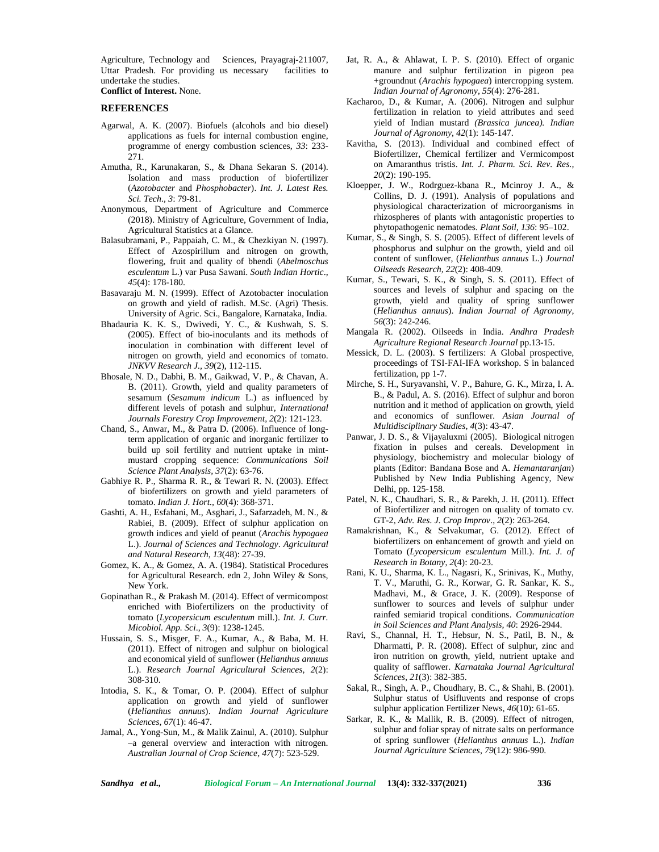Agriculture, Technology and Sciences, Prayagraj-211007, Uttar Pradesh. For providing us necessary facilities to undertake the studies.

## **Conflict of Interest.** None.

### **REFERENCES**

- Agarwal, A. K. (2007). Biofuels (alcohols and bio diesel) applications as fuels for internal combustion engine, programme of energy combustion sciences, *33*: 233- 271.
- Amutha, R., Karunakaran, S., & Dhana Sekaran S. (2014). Isolation and mass production of biofertilizer (*Azotobacter* and *Phosphobacter*). *Int. J. Latest Res. Sci. Tech., 3*: 79-81.
- Anonymous, Department of Agriculture and Commerce (2018). Ministry of Agriculture, Government of India, Agricultural Statistics at a Glance.
- Balasubramani, P., Pappaiah, C. M., & Chezkiyan N. (1997). Effect of Azospirillum and nitrogen on growth, flowering, fruit and quality of bhendi (*Abelmoschus esculentum* L.) var Pusa Sawani. *South Indian Hortic*., *45*(4): 178-180.
- Basavaraju M. N. (1999). Effect of Azotobacter inoculation on growth and yield of radish. M.Sc. (Agri) Thesis. University of Agric. Sci., Bangalore, Karnataka, India.
- Bhadauria K. K. S., Dwivedi, Y. C., & Kushwah, S. S. (2005). Effect of bio-inoculants and its methods of inoculation in combination with different level of nitrogen on growth, yield and economics of tomato. *JNKVV Research J., 39*(2), 112-115.
- Bhosale, N. D., Dabhi, B. M., Gaikwad, V. P., & Chavan, A. B. (2011). Growth, yield and quality parameters of sesamum (*Sesamum indicum* L.) as influenced by different levels of potash and sulphur, *International Journals Forestry Crop Improvement*, *2*(2): 121-123.
- Chand, S., Anwar, M., & Patra D. (2006). Influence of longterm application of organic and inorganic fertilizer to build up soil fertility and nutrient uptake in mint mustard cropping sequence: *Communications Soil Science Plant Analysis, 37*(2): 63-76.
- Gabhiye R. P., Sharma R. R., & Tewari R. N. (2003). Effect of biofertilizers on growth and yield parameters of tomato. *Indian J. Hort., 60*(4): 368-371.
- Gashti, A. H., Esfahani, M., Asghari, J., Safarzadeh, M. N., & Rabiei, B. (2009). Effect of sulphur application on growth indices and yield of peanut (*Arachis hypogaea* L.). *Journal of Sciences and Technology*. *Agricultural and Natural Research*, *13*(48): 27-39.
- Gomez, K. A., & Gomez, A. A. (1984). Statistical Procedures for Agricultural Research. edn 2, John Wiley & Sons, New York.
- Gopinathan R., & Prakash M. (2014). Effect of vermicompost enriched with Biofertilizers on the productivity of tomato (*Lycopersicum esculentum* mill.). *Int. J. Curr. Micobiol. App. Sci*., *3*(9): 1238-1245.
- Hussain, S. S., Misger, F. A., Kumar, A., & Baba, M. H. (2011). Effect of nitrogen and sulphur on biological and economical yield of sunflower (*Helianthus annuus* L.). *Research Journal Agricultural Sciences, 2*(2): 308-310.
- Intodia, S. K., & Tomar, O. P. (2004). Effect of sulphur application on growth and yield of sunflower (*Helianthus annuus*). *Indian Journal Agriculture Sciences, 67*(1): 46-47.
- Jamal, A., Yong-Sun, M., & Malik Zainul, A. (2010). Sulphur –a general overview and interaction with nitrogen. *Australian Journal of Crop Science*, *47*(7): 523-529.
- Jat, R. A., & Ahlawat, I. P. S. (2010). Effect of organic manure and sulphur fertilization in pigeon pea +groundnut (*Arachis hypogaea*) intercropping system. *Indian Journal of Agronomy, 55*(4): 276-281.
- Kacharoo, D., & Kumar, A. (2006). Nitrogen and sulphur fertilization in relation to yield attributes and seed yield of Indian mustard *(Brassica juncea). Indian Journal of Agronomy*, *42*(1): 145-147.
- Kavitha, S. (2013). Individual and combined effect of Biofertilizer, Chemical fertilizer and Vermicompost on Amaranthus tristis. *Int. J. Pharm. Sci. Rev. Res., 20*(2): 190-195.
- Kloepper, J. W., Rodrguez-kbana R., Mcinroy J. A., & Collins, D. J. (1991). Analysis of populations and physiological characterization of microorganisms in rhizospheres of plants with antagonistic properties to phytopathogenic nematodes. *Plant Soil, 136*: 95–102.
- Kumar, S., & Singh, S. S. (2005). Effect of different levels of phosphorus and sulphur on the growth, yield and oil content of sunflower, (*Helianthus annuus* L.) *Journal Oilseeds Research, 22*(2): 408-409.
- Kumar, S., Tewari, S. K., & Singh, S. S. (2011). Effect of sources and levels of sulphur and spacing on the growth, yield and quality of spring sunflower (*Helianthus annuus*). *Indian Journal of Agronomy*, *56*(3): 242-246.
- Mangala R. (2002). Oilseeds in India. *Andhra Pradesh Agriculture Regional Research Journal* pp.13-15.
- Messick, D. L. (2003). S fertilizers: A Global prospective, proceedings of TSI-FAI-IFA workshop. S in balanced fertilization, pp 1-7.
- Mirche, S. H., Suryavanshi, V. P., Bahure, G. K., Mirza, I. A. B., & Padul, A. S. (2016). Effect of sulphur and boron nutrition and it method of application on growth, yield and economics of sunflower*. Asian Journal of Multidisciplinary Studies*, *4*(3): 43-47.
- Panwar, J. D. S., & Vijayaluxmi (2005). Biological nitrogen fixation in pulses and cereals. Development in physiology, biochemistry and molecular biology of plants (Editor: Bandana Bose and A. *Hemantaranjan*) Published by New India Publishing Agency, New Delhi, pp. 125-158.
- Patel, N. K., Chaudhari, S. R., & Parekh, J. H. (2011). Effect of Biofertilizer and nitrogen on quality of tomato cv. GT-2, *Adv. Res. J. Crop Improv*., *2*(2): 263-264.
- Ramakrishnan, K., & Selvakumar, G. (2012). Effect of biofertilizers on enhancement of growth and yield on Tomato (*Lycopersicum esculentum* Mill.). *Int. J. of Research in Botany*, *2*(4): 20-23.
- Rani, K. U., Sharma, K. L., Nagasri, K., Srinivas, K., Muthy, T. V., Maruthi, G. R., Korwar, G. R. Sankar, K. S., Madhavi, M., & Grace, J. K. (2009). Response of sunflower to sources and levels of sulphur under rainfed semiarid tropical conditions. *Communication in Soil Sciences and Plant Analysis, 40*: 2926-2944.
- Ravi, S., Channal, H. T., Hebsur, N. S., Patil, B. N., & Dharmatti, P. R. (2008). Effect of sulphur, zinc and iron nutrition on growth, yield, nutrient uptake and quality of safflower. *Karnataka Journal Agricultural Sciences*, *21*(3): 382-385.
- Sakal, R., Singh, A. P., Choudhary, B. C., & Shahi, B. (2001). Sulphur status of Usifluvents and response of crops sulphur application Fertilizer News, *46*(10): 61-65.
- Sarkar, R. K., & Mallik, R. B. (2009). Effect of nitrogen, sulphur and foliar spray of nitrate salts on performance of spring sunflower (*Helianthus annuus* L.). *Indian Journal Agriculture Sciences*, *79*(12): 986-990.